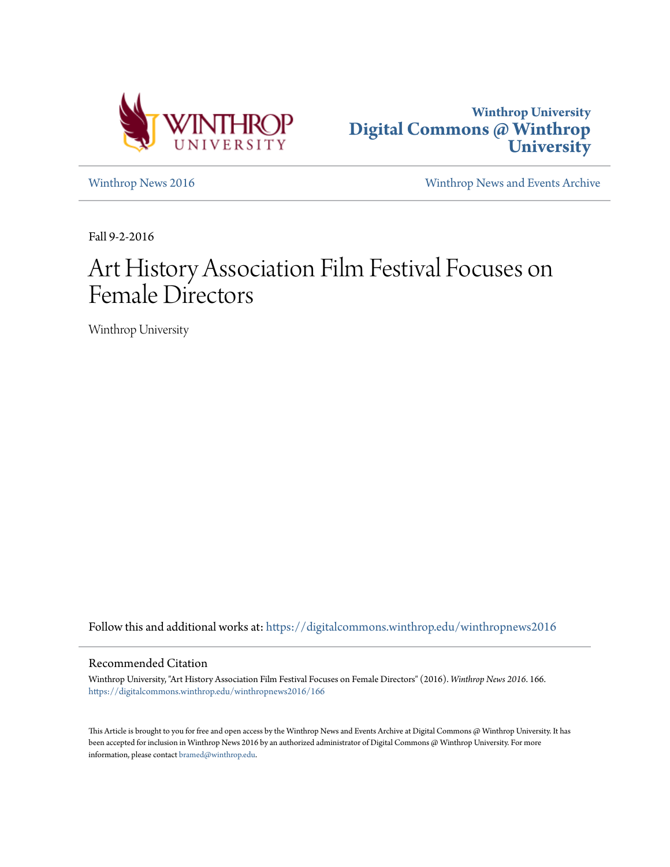



[Winthrop News 2016](https://digitalcommons.winthrop.edu/winthropnews2016?utm_source=digitalcommons.winthrop.edu%2Fwinthropnews2016%2F166&utm_medium=PDF&utm_campaign=PDFCoverPages) [Winthrop News and Events Archive](https://digitalcommons.winthrop.edu/winthropnewsarchives?utm_source=digitalcommons.winthrop.edu%2Fwinthropnews2016%2F166&utm_medium=PDF&utm_campaign=PDFCoverPages)

Fall 9-2-2016

# Art History Association Film Festival Focuses on Female Directors

Winthrop University

Follow this and additional works at: [https://digitalcommons.winthrop.edu/winthropnews2016](https://digitalcommons.winthrop.edu/winthropnews2016?utm_source=digitalcommons.winthrop.edu%2Fwinthropnews2016%2F166&utm_medium=PDF&utm_campaign=PDFCoverPages)

#### Recommended Citation

Winthrop University, "Art History Association Film Festival Focuses on Female Directors" (2016). *Winthrop News 2016*. 166. [https://digitalcommons.winthrop.edu/winthropnews2016/166](https://digitalcommons.winthrop.edu/winthropnews2016/166?utm_source=digitalcommons.winthrop.edu%2Fwinthropnews2016%2F166&utm_medium=PDF&utm_campaign=PDFCoverPages)

This Article is brought to you for free and open access by the Winthrop News and Events Archive at Digital Commons @ Winthrop University. It has been accepted for inclusion in Winthrop News 2016 by an authorized administrator of Digital Commons @ Winthrop University. For more information, please contact [bramed@winthrop.edu](mailto:bramed@winthrop.edu).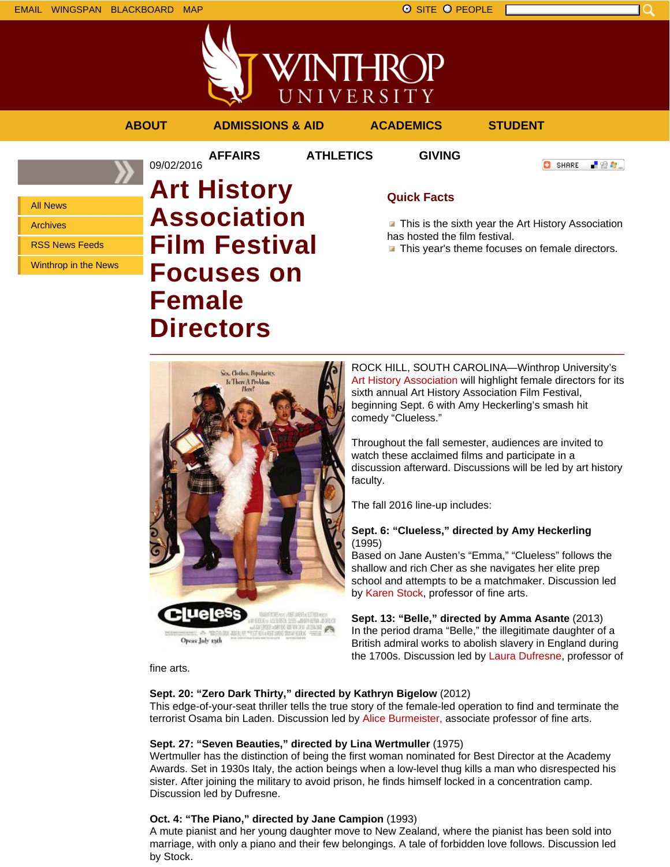



**AFFAIRS ATHLETICS GIVING**

**ABOUT ADMISSIONS & AID ACADEMICS STUDENT**

All News Archives RSS News Feeds

Winthrop in the News

# 09/02/2016 **Art History Association Film Festival Focuses on Female Directors**

# **Quick Facts**

**This is the sixth year the Art History Association** has hosted the film festival.

**O** SHARE

「验費」

**This year's theme focuses on female directors.** 



ROCK HILL, SOUTH CAROLINA—Winthrop University's Art History Association will highlight female directors for its sixth annual Art History Association Film Festival, beginning Sept. 6 with Amy Heckerling's smash hit comedy "Clueless."

Throughout the fall semester, audiences are invited to watch these acclaimed films and participate in a discussion afterward. Discussions will be led by art history faculty.

The fall 2016 line-up includes:

### **Sept. 6: "Clueless," directed by Amy Heckerling** (1995)

Based on Jane Austen's "Emma," "Clueless" follows the shallow and rich Cher as she navigates her elite prep school and attempts to be a matchmaker. Discussion led by Karen Stock, professor of fine arts.

**Sept. 13: "Belle," directed by Amma Asante** (2013) In the period drama "Belle," the illegitimate daughter of a British admiral works to abolish slavery in England during the 1700s. Discussion led by Laura Dufresne, professor of

fine arts.

# **Sept. 20: "Zero Dark Thirty," directed by Kathryn Bigelow** (2012)

This edge-of-your-seat thriller tells the true story of the female-led operation to find and terminate the terrorist Osama bin Laden. Discussion led by Alice Burmeister, associate professor of fine arts.

# **Sept. 27: "Seven Beauties," directed by Lina Wertmuller** (1975)

Wertmuller has the distinction of being the first woman nominated for Best Director at the Academy Awards. Set in 1930s Italy, the action beings when a low-level thug kills a man who disrespected his sister. After joining the military to avoid prison, he finds himself locked in a concentration camp. Discussion led by Dufresne.

# **Oct. 4: "The Piano," directed by Jane Campion** (1993)

A mute pianist and her young daughter move to New Zealand, where the pianist has been sold into marriage, with only a piano and their few belongings. A tale of forbidden love follows. Discussion led by Stock.